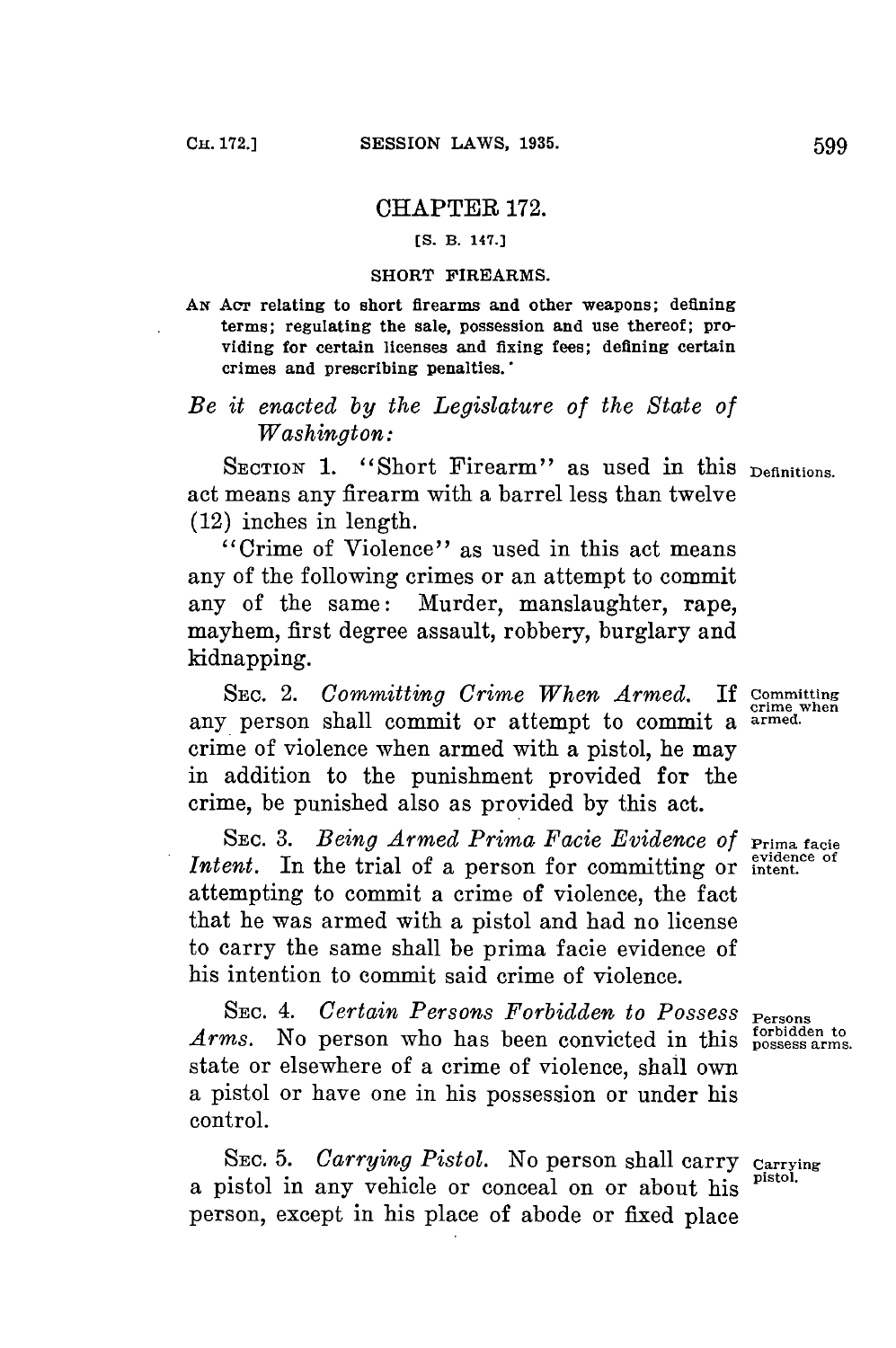## CHAPTER **172.**

**[S. B. 147.]**

## **SHORT FIREARMS.**

*AN* **Acr relating to short firearms and other weapons; defining terms; regulating the sale, possession and use thereof; providing for certain licenses and** *fixing* **fees; defining certain crimes and prescribing penalties.'**

## *Be it enacted by the Legislature of the State of Washington:*

SECTION 1. "Short Firearm" as used in this **Definitions**. act means any firearm with a barrel less than twelve (12) inches in length.

"Crime of Violence" as used in this act means any of the following crimes or an attempt to commit any of the same: Murder, manslaughter, rape, mayhem, first degree assault, robbery, burglary and kidnapping.

**SEC.** 2. *Committing Crime When Armed.* **If Committing** any person shall commit or attempt to commit a **armed.** crime of violence when armed with a pistol, he may in addition to the punishment provided for the crime, be punished also as provided **by** this act.

SEC. 3. *Being Armed Prima Facie Evidence of Prima facie* **evidence of** *Intent.* In the trial of a person for committing or **intent.** attempting to commit a crime of violence, the fact that he was armed with a pistol and had no license to carry the same shall be prima facie evidence of his intention to commit said crime of violence.

SEC. 4. Certain Persons Forbidden to Possess Persons *Arms.* No person who has been convicted in this possess arms. state or elsewhere of a crime of violence, shall own a pistol or have one in his possession or under his control.

**SEC. 5.** *Carrying Pistol.* No person shall carry **Carrying** a pistol in any vehicle or conceal on or about his **pisto'.** person, except in his place of abode or fixed place

crime when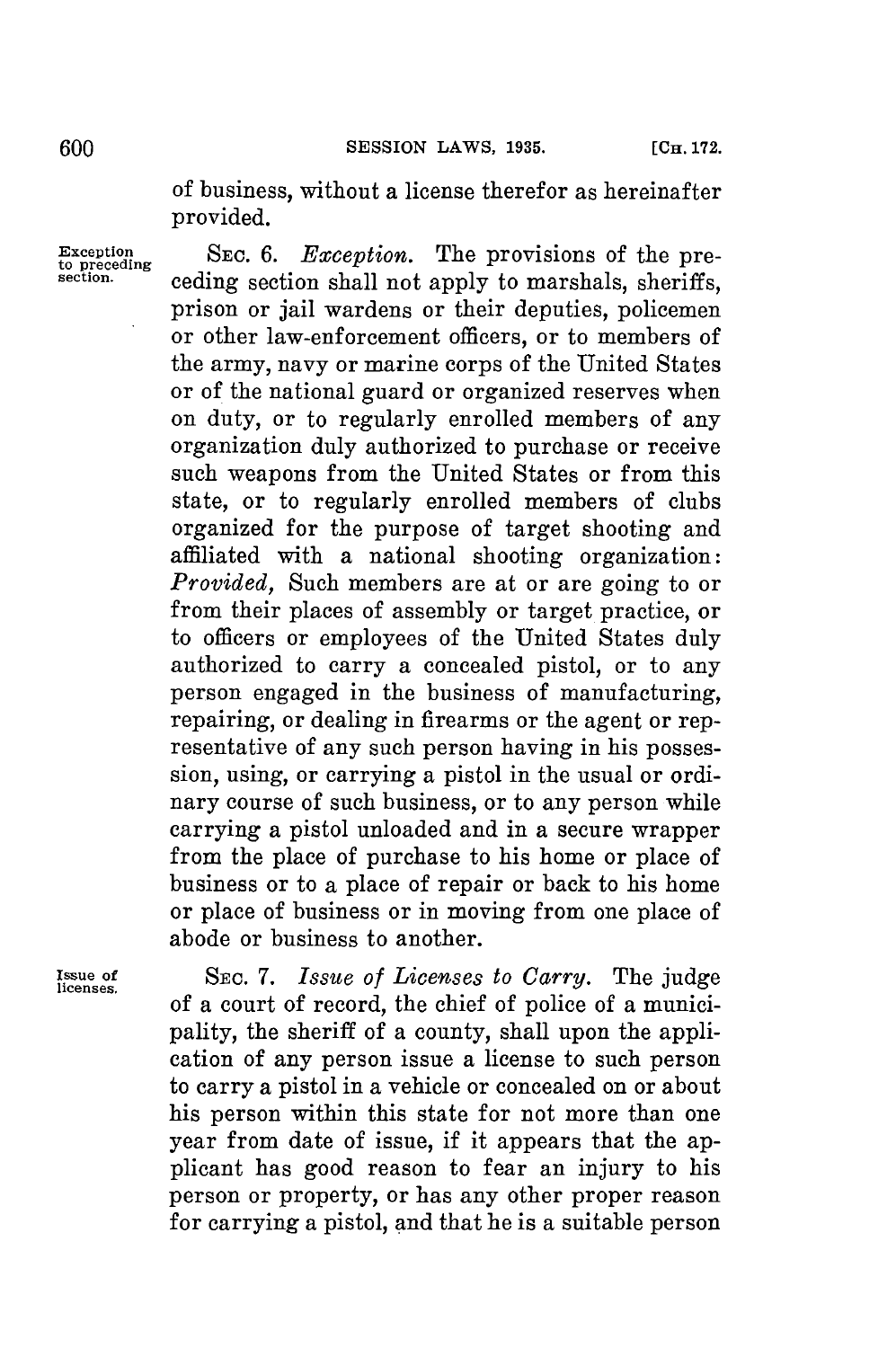of business, without a license therefor as hereinafter provided.

Exception **SEC. 6.** *Exception*. The provisions of the pre-**section.** ceding section shall not apply to marshals, sheriffs. prison or jail wardens or their deputies, policemen or other law-enforcement officers, or to members of the army, navy or marine corps of the United States or of the national guard or organized reserves when on duty, or to regularly enrolled members of any organization duly authorized to purchase or receive such weapons from the United States or from this state, or to regularly enrolled members of clubs organized for the purpose of target shooting and affiliated with a national shooting organization: *Provided,* Such members are at or are going to or from their places of assembly or target practice, or to officers or employees of the United States duly authorized to carry a concealed pistol, or to any person engaged in the business of manufacturing, repairing, or dealing in firearms or the agent or representative of any such person having in his possession, using, or carrying a pistol in the usual or ordinary course of such business, or to any person while carrying a pistol unloaded and in a secure wrapper from the place of purchase to his home or place of business or to a place of repair or back to his home or place of business or in moving from one place of abode or business to another.

**Issue of SEc.** *7. Issue of Licenses to Carry.* The judge of a court of record, the chief of police of a municipality, the sheriff of a county, shall upon the application of any person issue a license to such person to carry a pistol in a vehicle or concealed on or about his person within this state for not more than one year from date of issue, if it appears that the applicant has good reason to fear an injury to his person or property, or has any other proper reason for carrying a pistol, and that he is a suitable person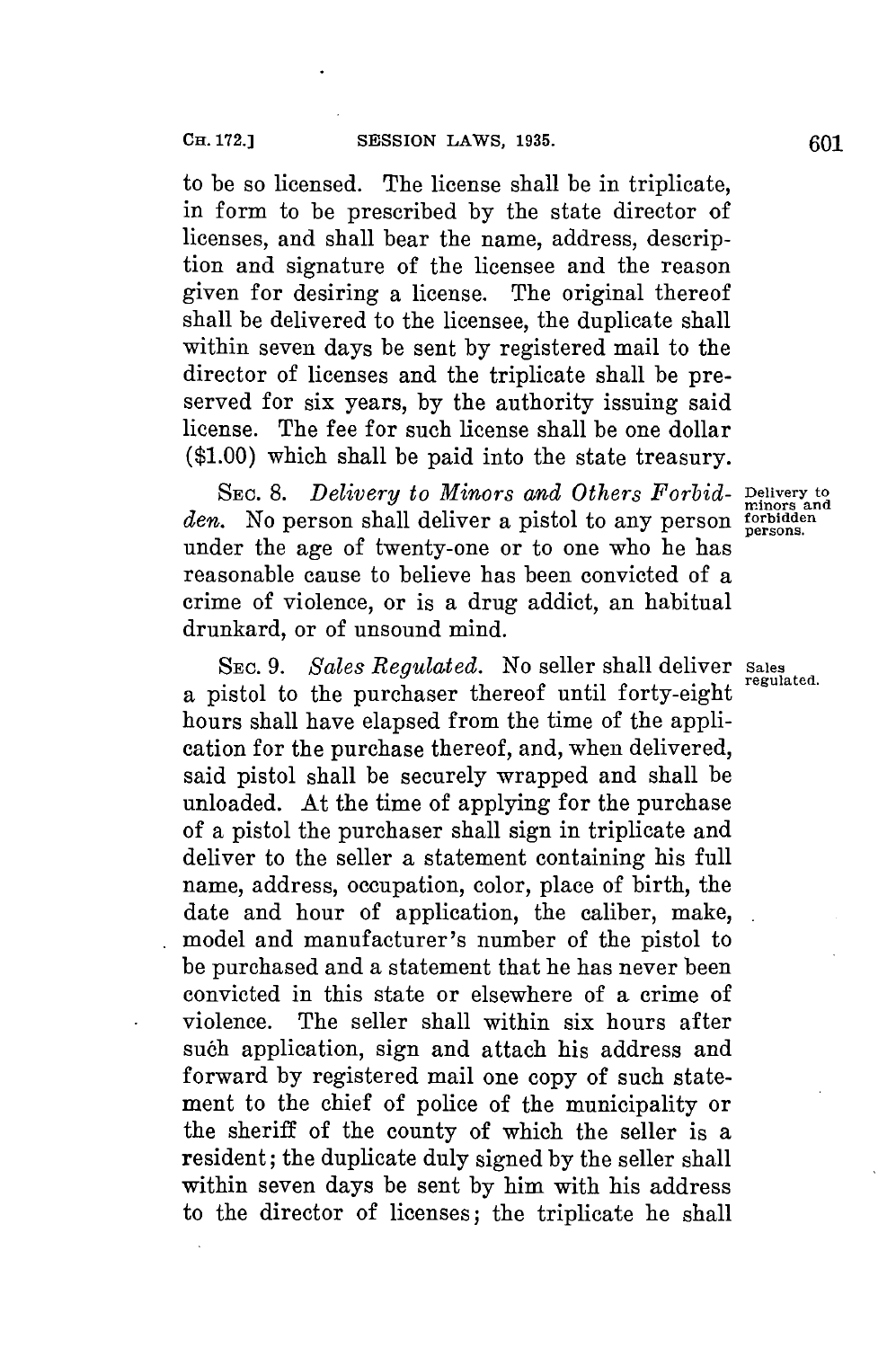to be so licensed. The license shall be in triplicate, in form to be prescribed **by** the state director of licenses, and shall bear the name, address, description and signature of the licensee and the reason given for desiring a license. The original thereof shall be delivered to the licensee, the duplicate shall within seven days be sent **by** registered mail to the director of licenses and the triplicate shall be preserved **for** six years, **by** the authority issuing said license. The fee for such license shall be one dollar **(\$1.00)** which shall be paid into the state treasury.

SEC. 8. *Delivery to Minors and Others Forbid-* Delivery to *den.* No person shall deliver a pistol to any person **forbidden** under the age of twenty-one or to one who he has reasonable cause to believe has been convicted of a crime of violence, or is a drug addict, an habitual drunkard, or of unsound mind.

SEC. *9. Sales Regulated.* No seller shall deliver **Sales** a pistol to the purchaser thereof until forty-eight hours shall have elapsed from the time of the application **for** the purchase thereof, and, when delivered, said pistol shall be securely wrapped and shall be unloaded. At the time of applying **for** the purchase of a pistol the purchaser shall sign in triplicate and deliver to the seller a statement containing his full name, address, occupation, color, place of birth, the date and hour of application, the caliber, make, model and manufacturer's number of the pistol to be purchased and a statement that he has never been convicted in this state or elsewhere of a crime of violence. The seller shall within six hours after such application, sign and attach his address and forward **by** registered mail one copy of such statement to the chief of police of the municipality or the sheriff of the county of which the seller is a resident; the duplicate duly signed **by** the seller shall within seven days be sent **by** him with his address to the director of licenses; the triplicate he shall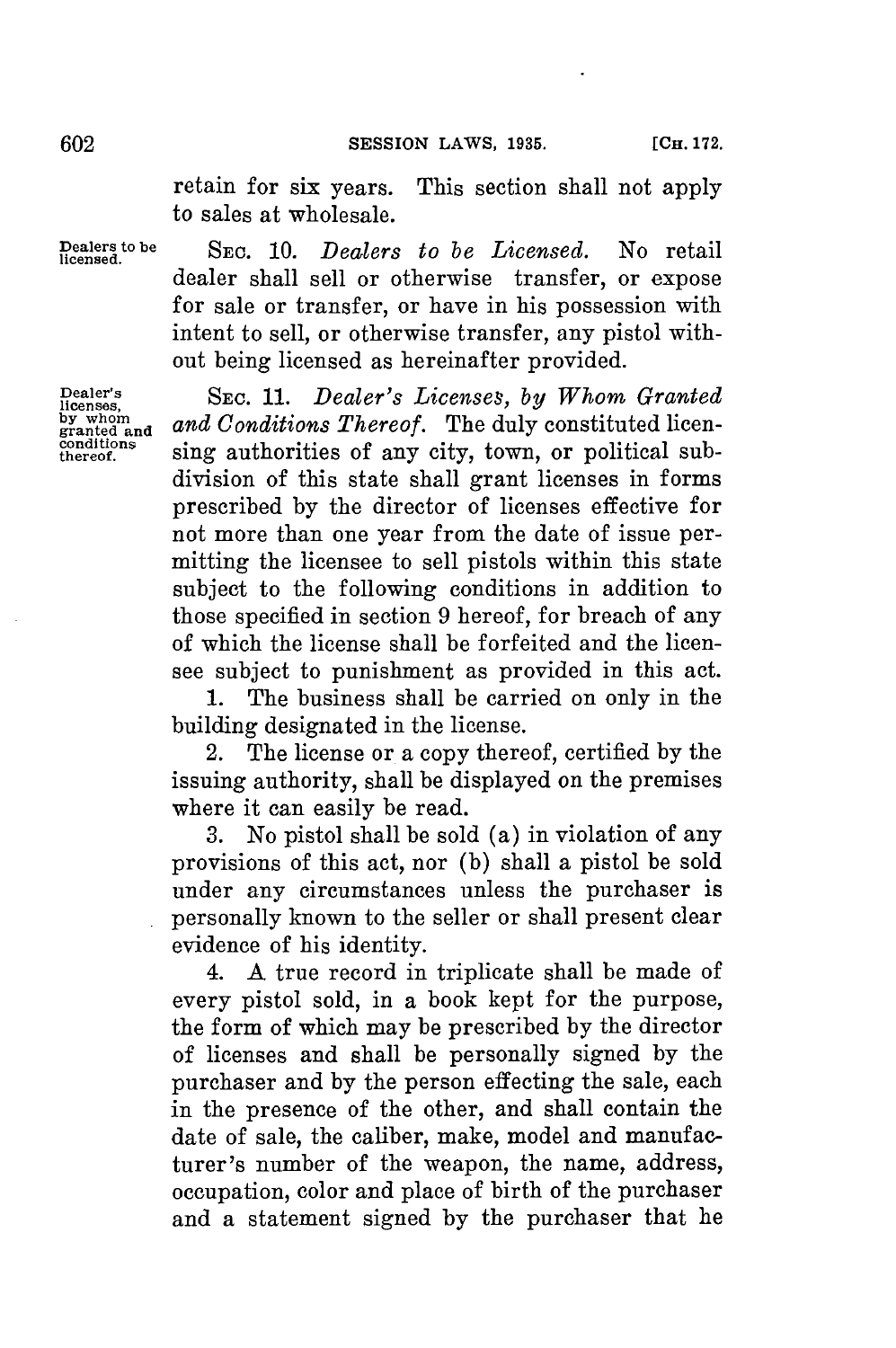retain for six years. This section shall not apply to sales at wholesale.

**conditions**

**Dealers to be SEC.** *10. Dealers to be Licensed.* No retail **licensed.** dealer shall sell or otherwise transfer, or expose for sale or transfer, or have in his possession with intent to sell, or otherwise transfer, any pistol without being licensed as hereinafter provided.

**Dealer's SEc.** *11. Dealer's Licenses, by Whom Granted* by whom and *Conditions Thereof.* The duly constituted licensing authorities of any city, town, or political subdivision of this state shall grant licenses in forms prescribed **by** the director of licenses effective for not more than one year from the date of issue permitting the licensee to sell pistols within this state subject to the following conditions in addition to those specified in section **9** hereof, for breach of any of which the license shall be forfeited and the licensee subject to punishment as provided in this act.

> **1.** The business shall be carried on only in the building designated in the license.

> 2. The license or a copy thereof, certified **by** the issuing authority, shall be displayed on the premises where it can easily be read.

> **3.** No pistol shall be sold (a) in violation of any provisions of this act, nor **(b)** shall a pistol be sold under any circumstances unless the purchaser is personally known to the seller or shall present clear evidence of his identity.

> 4. **A** true record in triplicate shall be made of every pistol sold, in a book kept for the purpose, the form of which may be prescribed **by** the director of licenses and shall be personally signed **by** the purchaser and **by** the person effecting the sale, each in the presence of the other, and shall contain the date of sale, the caliber, make, model and manufacturer's number of the weapon, the name, address, occupation, color and place of birth of the purchaser and a statement signed **by** the purchaser that he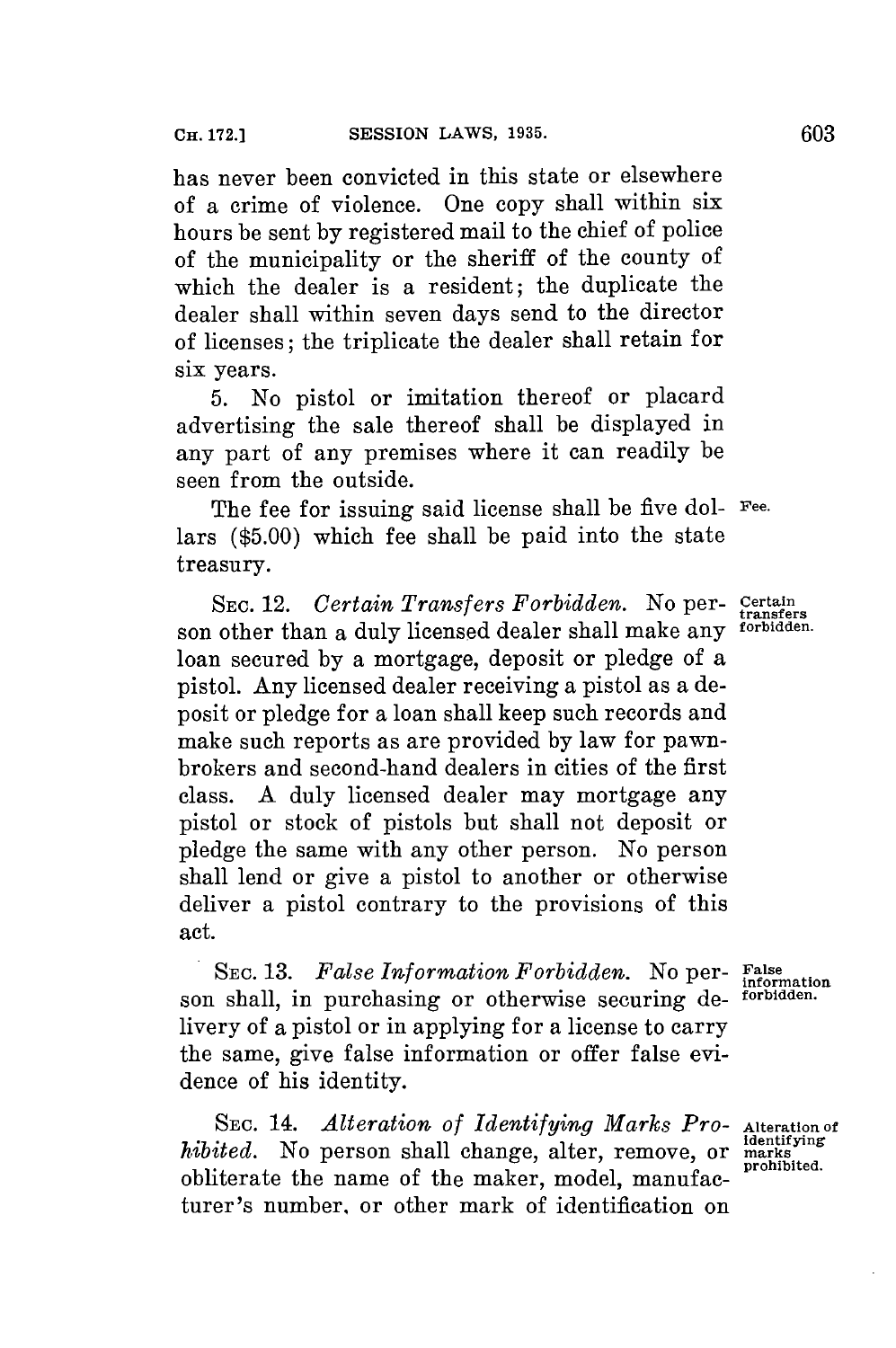has never been convicted in this state or elsewhere of a crime of violence. One copy shall within six hours be sent **by** registered mail to the chief of police of the municipality or the sheriff of the county of which the dealer is a resident; the duplicate the dealer shall within seven days send to the director of licenses; the triplicate the dealer shall retain for six years.

**5.** No pistol or imitation thereof or placard advertising the sale thereof shall be displayed in any part of any premises where it can readily be seen from the outside.

The fee for issuing said license shall be five **dol- Fee.** lars **(\$5.00)** which fee shall be paid into the state treasury.

SEC. 12. *Certain Transfers Forbidden.* No per- **Certain** son other than a duly licensed dealer shall make any loan secured **by** a mortgage, deposit or pledge of a pistol. Any licensed dealer receiving a pistol as a deposit or pledge **for** a loan shall keep such records and make such reports as are provided **by** law **for** pawnbrokers and second-hand dealers in cities of the first class. **A** duly licensed dealer may mortgage any pistol or stock of pistols but shall not deposit or pledge the same with any other person. No person shall lend or give a pistol to another or otherwise deliver a pistol contrary to the provisions of this act.

*SEC. 13. False Information Forbidden.* No per- **False information** son shall, in purchasing or otherwise securing delivery of a pistol or in applying **for** a license to carry the same, give false information or offer false evidence of his identity.

SEC. 14. *Alteration of Identifying Marks Pro-* Alteration of *hibited.* No person shall change, alter, remove, or marks obliterate the name of the maker, model, manufacturer's number, or other mark of identification on